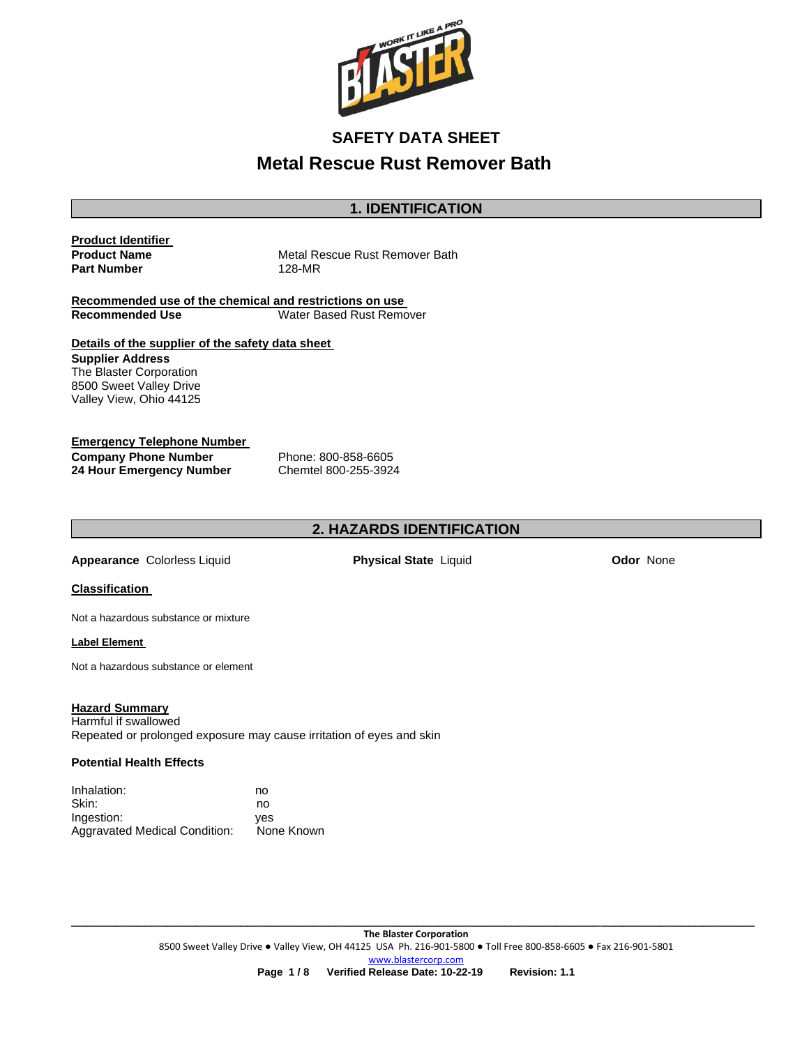

## **1. IDENTIFICATION**

#### **Product Identifier Product Name Part Number**

Metal Rescue Rust Remover Bath 128-MR

**Recommended use of the chemical and restrictions on use Water Based Rust Remover** 

**Details of the supplier of the safety data sheet Supplier Address** The Blaster Corporation 8500 Sweet Valley Drive

#### **Emergency Telephone Number Company Phone Number 24 Hour Emergency Number**

Valley View, Ohio 44125

Phone: 800-858-6605 Chemtel 800-255-3924

# **2. HAZARDS IDENTIFICATION**

**Appearance** Colorless Liquid **Physical State** Liquid **Odor** None

#### **Classification**

Not a hazardous substance or mixture

#### **Label Element**

Not a hazardous substance or element

#### **Hazard Summary**

Harmful if swallowed Repeated or prolonged exposure may cause irritation of eyes and skin

#### **Potential Health Effects**

| Inhalation:                          | no         |
|--------------------------------------|------------|
| Skin:                                | no         |
| Ingestion:                           | ves        |
| <b>Aggravated Medical Condition:</b> | None Known |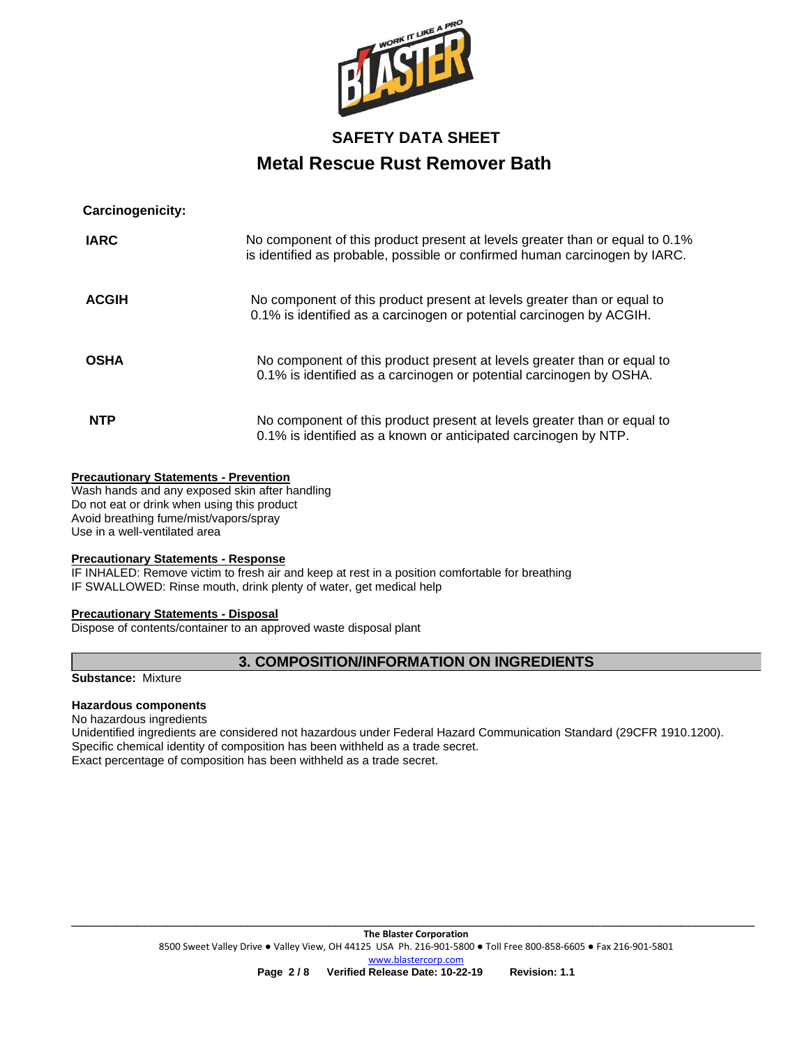

## **Carcinogenicity:**

| <b>IARC</b>  | No component of this product present at levels greater than or equal to 0.1%<br>is identified as probable, possible or confirmed human carcinogen by IARC. |
|--------------|------------------------------------------------------------------------------------------------------------------------------------------------------------|
| <b>ACGIH</b> | No component of this product present at levels greater than or equal to<br>0.1% is identified as a carcinogen or potential carcinogen by ACGIH.            |
| <b>OSHA</b>  | No component of this product present at levels greater than or equal to<br>0.1% is identified as a carcinogen or potential carcinogen by OSHA.             |
| <b>NTP</b>   | No component of this product present at levels greater than or equal to<br>0.1% is identified as a known or anticipated carcinogen by NTP.                 |

#### **Precautionary Statements - Prevention**

Wash hands and any exposed skin after handling Do not eat or drink when using this product Avoid breathing fume/mist/vapors/spray Use in a well-ventilated area

## **Precautionary Statements - Response**

IF INHALED: Remove victim to fresh air and keep at rest in a position comfortable for breathing IF SWALLOWED: Rinse mouth, drink plenty of water, get medical help

### **Precautionary Statements - Disposal**

Dispose of contents/container to an approved waste disposal plant

## **3. COMPOSITION/INFORMATION ON INGREDIENTS**

**Substance:** Mixture

### **Hazardous components**

No hazardous ingredients Unidentified ingredients are considered not hazardous under Federal Hazard Communication Standard (29CFR 1910.1200). Specific chemical identity of composition has been withheld as a trade secret. Exact percentage of composition has been withheld as a trade secret.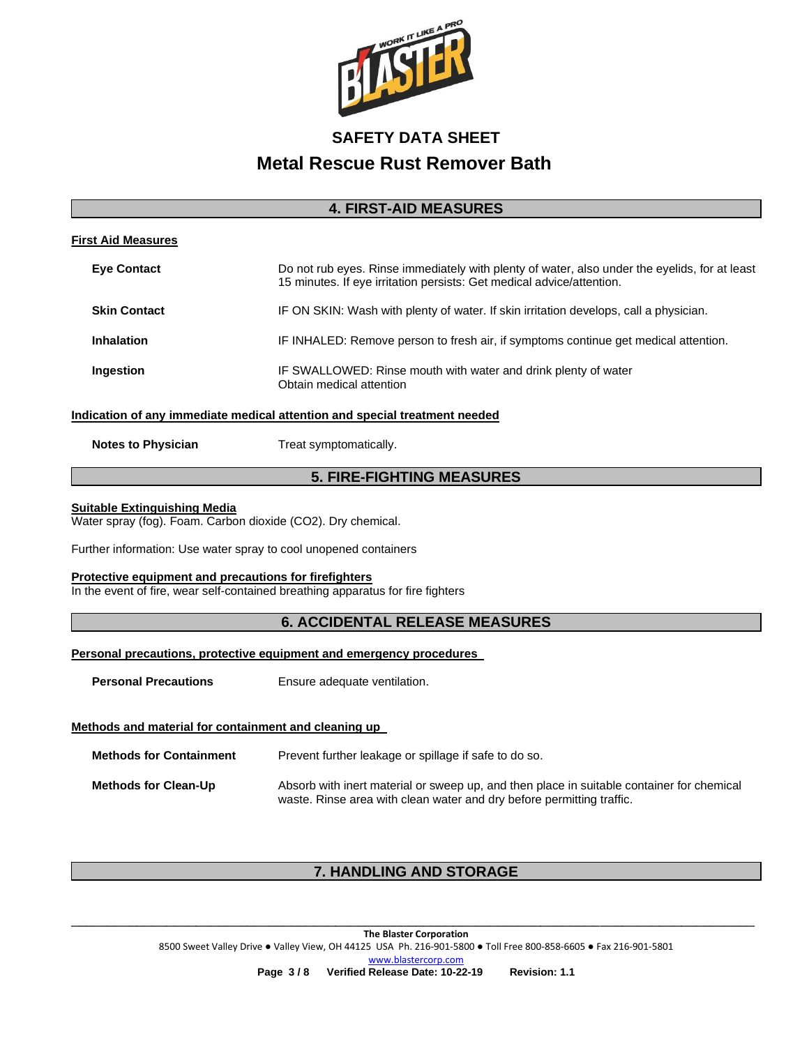

## **4. FIRST-AID MEASURES**

| <b>First Aid Measures</b>                                                  |                                                                                                                                                                        |  |  |
|----------------------------------------------------------------------------|------------------------------------------------------------------------------------------------------------------------------------------------------------------------|--|--|
| <b>Eve Contact</b>                                                         | Do not rub eyes. Rinse immediately with plenty of water, also under the eyelids, for at least<br>15 minutes. If eye irritation persists: Get medical advice/attention. |  |  |
| <b>Skin Contact</b>                                                        | IF ON SKIN: Wash with plenty of water. If skin irritation develops, call a physician.                                                                                  |  |  |
| <b>Inhalation</b>                                                          | IF INHALED: Remove person to fresh air, if symptoms continue get medical attention.                                                                                    |  |  |
| Ingestion                                                                  | IF SWALLOWED: Rinse mouth with water and drink plenty of water<br>Obtain medical attention                                                                             |  |  |
| Indication of any immediate medical attention and special treatment needed |                                                                                                                                                                        |  |  |
| <b>Notes to Physician</b>                                                  | Treat symptomatically.                                                                                                                                                 |  |  |

## **5. FIRE-FIGHTING MEASURES**

#### **Suitable Extinguishing Media**

Water spray (fog). Foam. Carbon dioxide (CO2). Dry chemical.

Further information: Use water spray to cool unopened containers

#### **Protective equipment and precautions for firefighters**

In the event of fire, wear self-contained breathing apparatus for fire fighters

## **6. ACCIDENTAL RELEASE MEASURES**

## **Personal precautions, protective equipment and emergency procedures**

**Personal Precautions Ensure adequate ventilation.** 

### **Methods and material for containment and cleaning up**

| <b>Methods for Containment</b> | Prevent further leakage or spillage if safe to do so.                                                                                                              |
|--------------------------------|--------------------------------------------------------------------------------------------------------------------------------------------------------------------|
| <b>Methods for Clean-Up</b>    | Absorb with inert material or sweep up, and then place in suitable container for chemical<br>waste. Rinse area with clean water and dry before permitting traffic. |

# **7. HANDLING AND STORAGE**

**The Blaster Corporation** 8500 Sweet Valley Drive ● Valley View, OH 44125 USA Ph. 216-901-5800 ● Toll Free 800-858-6605 ● Fax 216-901-5801 [www.blastercorp.com](http://www.blastercorp.com/) **Page 3 / 8 Verified Release Date: 10-22-19 Revision: 1.1**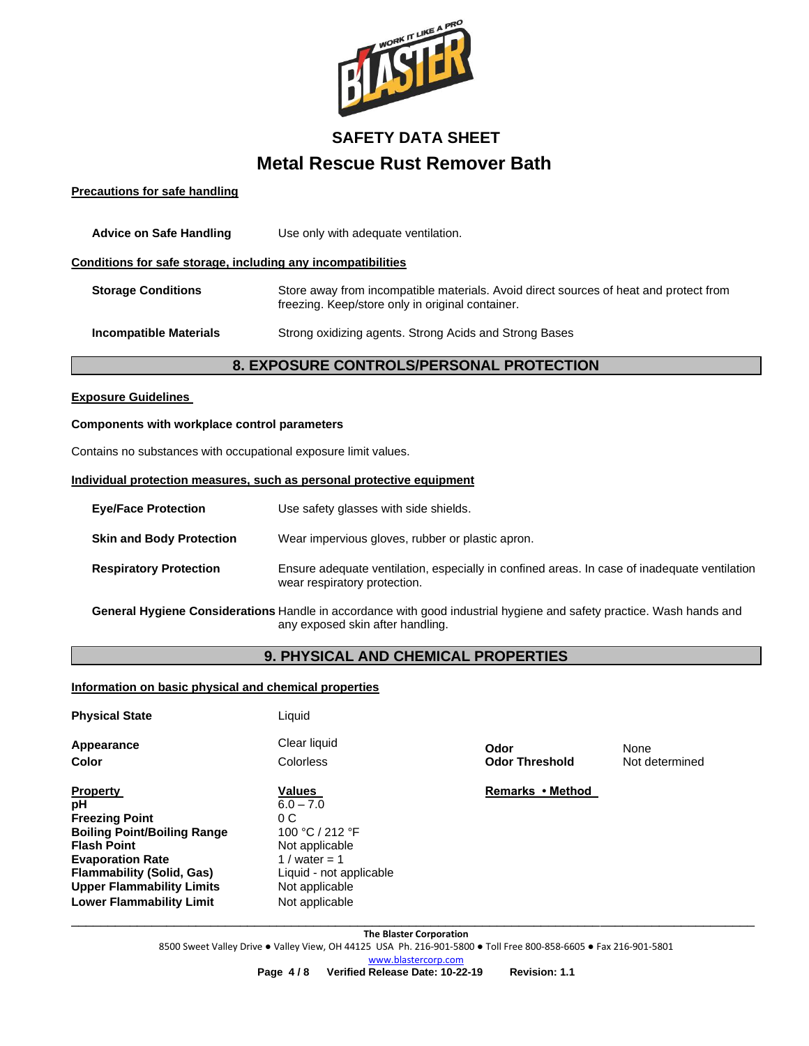

#### **Precautions for safe handling**

| <b>Advice on Safe Handling</b>                               | Use only with adequate ventilation.                                                                                                       |  |  |
|--------------------------------------------------------------|-------------------------------------------------------------------------------------------------------------------------------------------|--|--|
| Conditions for safe storage, including any incompatibilities |                                                                                                                                           |  |  |
| <b>Storage Conditions</b>                                    | Store away from incompatible materials. Avoid direct sources of heat and protect from<br>freezing. Keep/store only in original container. |  |  |
| <b>Incompatible Materials</b>                                | Strong oxidizing agents. Strong Acids and Strong Bases                                                                                    |  |  |
| <b>8. EXPOSURE CONTROLS/PERSONAL PROTECTION</b>              |                                                                                                                                           |  |  |

#### **Exposure Guidelines**

#### **Components with workplace control parameters**

Contains no substances with occupational exposure limit values.

#### **Individual protection measures, such as personal protective equipment**

| <b>Eve/Face Protection</b>      | Use safety glasses with side shields.                                                                                        |
|---------------------------------|------------------------------------------------------------------------------------------------------------------------------|
| <b>Skin and Body Protection</b> | Wear impervious gloves, rubber or plastic apron.                                                                             |
| <b>Respiratory Protection</b>   | Ensure adequate ventilation, especially in confined areas. In case of inadequate ventilation<br>wear respiratory protection. |

**General Hygiene Considerations** Handle in accordance with good industrial hygiene and safety practice. Wash hands and any exposed skin after handling.

# **9. PHYSICAL AND CHEMICAL PROPERTIES**

### **Information on basic physical and chemical properties**

| <b>Physical State</b>                                                                                                                                                                                         | Liquid                                                                                                                                |                               |                        |
|---------------------------------------------------------------------------------------------------------------------------------------------------------------------------------------------------------------|---------------------------------------------------------------------------------------------------------------------------------------|-------------------------------|------------------------|
| Appearance<br>Color                                                                                                                                                                                           | Clear liquid<br>Colorless                                                                                                             | Odor<br><b>Odor Threshold</b> | None<br>Not determined |
| <b>Property</b><br>рH<br><b>Freezing Point</b><br><b>Boiling Point/Boiling Range</b><br><b>Flash Point</b><br><b>Evaporation Rate</b><br><b>Flammability (Solid, Gas)</b><br><b>Upper Flammability Limits</b> | <b>Values</b><br>$6.0 - 7.0$<br>0C<br>100 °C / 212 °F<br>Not applicable<br>1 / water = 1<br>Liquid - not applicable<br>Not applicable | Remarks • Method              |                        |
| <b>Lower Flammability Limit</b>                                                                                                                                                                               | Not applicable                                                                                                                        |                               |                        |

\_\_\_\_\_\_\_\_\_\_\_\_\_\_\_\_\_\_\_\_\_\_\_\_\_\_\_\_\_\_\_\_\_\_\_\_\_\_\_\_\_\_\_\_\_\_\_\_\_\_\_\_\_\_\_\_\_\_\_\_\_\_\_\_\_\_\_\_\_\_\_\_\_\_\_\_\_\_\_\_\_\_\_\_\_\_\_\_\_\_\_\_\_ **The Blaster Corporation** 8500 Sweet Valley Drive ● Valley View, OH 44125 USA Ph. 216-901-5800 ● Toll Free 800-858-6605 ● Fax 216-901-5801 [www.blastercorp.com](http://www.blastercorp.com/)

**Page 4 / 8 Verified Release Date: 10-22-19 Revision: 1.1**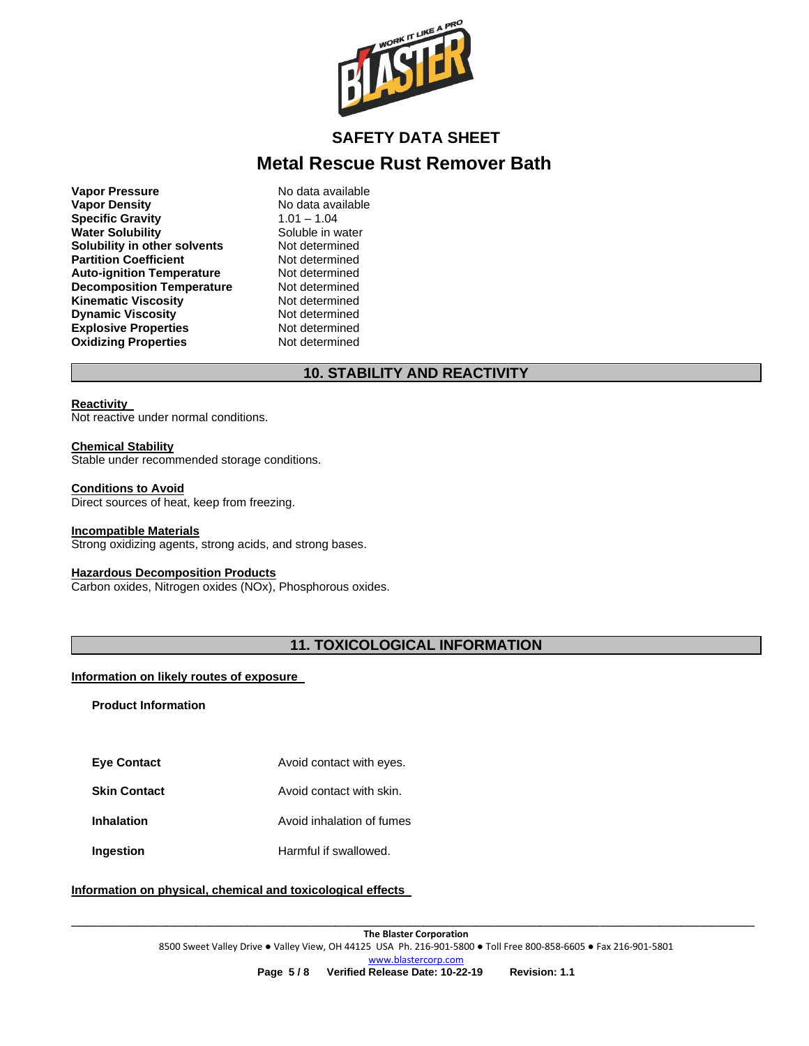

**Vapor Pressure No data available**<br> **Vapor Density No data available Specific Gravity** 1.01 – 1.04 **Water Solubility <br>Solubility in other solvents Not determined Solubility in other solvents Partition Coefficient Not determined Auto-ignition Temperature Mot determined<br>
<b>Decomposition Temperature** Not determined **Decomposition Temperature Not determined**<br>**Kinematic Viscosity Not determined Kinematic Viscosity Dynamic Viscosity Not determined Explosive Properties** Not determined **Oxidizing Properties** Not determined

**No data available** 

# **10. STABILITY AND REACTIVITY**

#### **Reactivity**

Not reactive under normal conditions.

#### **Chemical Stability**

Stable under recommended storage conditions.

#### **Conditions to Avoid**

Direct sources of heat, keep from freezing.

#### **Incompatible Materials**

Strong oxidizing agents, strong acids, and strong bases.

#### **Hazardous Decomposition Products**

Carbon oxides, Nitrogen oxides (NOx), Phosphorous oxides.

# **11. TOXICOLOGICAL INFORMATION**

#### **Information on likely routes of exposure**

**Product Information** 

- **Eye Contact Avoid contact with eyes.**
- **Skin Contact Avoid contact with skin.**
- **Inhalation Avoid inhalation of fumes**
- **Ingestion Harmful if swallowed.**

### **Information on physical, chemical and toxicological effects**

\_\_\_\_\_\_\_\_\_\_\_\_\_\_\_\_\_\_\_\_\_\_\_\_\_\_\_\_\_\_\_\_\_\_\_\_\_\_\_\_\_\_\_\_\_\_\_\_\_\_\_\_\_\_\_\_\_\_\_\_\_\_\_\_\_\_\_\_\_\_\_\_\_\_\_\_\_\_\_\_\_\_\_\_\_\_\_\_\_\_\_\_\_ **The Blaster Corporation** 8500 Sweet Valley Drive ● Valley View, OH 44125 USA Ph. 216-901-5800 ● Toll Free 800-858-6605 ● Fax 216-901-5801 [www.blastercorp.com](http://www.blastercorp.com/) **Page 5 / 8 Verified Release Date: 10-22-19 Revision: 1.1**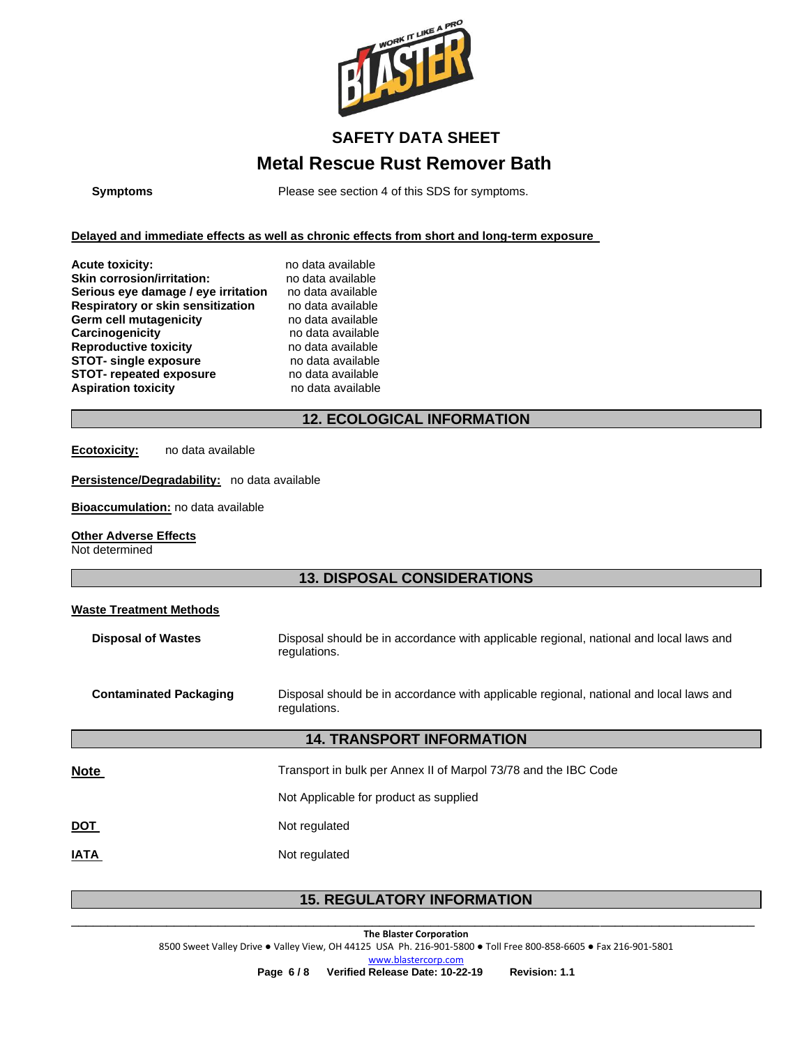

**Symptoms** Please see section 4 of this SDS for symptoms.

**Delayed and immediate effects as well as chronic effects from short and long-term exposure** 

| <b>Acute toxicity:</b>              | no data available |
|-------------------------------------|-------------------|
| <b>Skin corrosion/irritation:</b>   | no data available |
| Serious eye damage / eye irritation | no data available |
| Respiratory or skin sensitization   | no data available |
| <b>Germ cell mutagenicity</b>       | no data available |
| Carcinogenicity                     | no data available |
| <b>Reproductive toxicity</b>        | no data available |
| <b>STOT-</b> single exposure        | no data available |
| <b>STOT- repeated exposure</b>      | no data available |
| <b>Aspiration toxicity</b>          | no data available |
|                                     |                   |

### ailable ailable  $r$ ailable *r*ailable vailable *Report* **STOT- single exposure** no data available **Aspiration toxicity** no data available

# **12. ECOLOGICAL INFORMATION**

**Ecotoxicity:** no data available

**Persistence/Degradability:** no data available

**Bioaccumulation:** no data available

#### **Other Adverse Effects**

Not determined

## **13. DISPOSAL CONSIDERATIONS**

### **Waste Treatment Methods**

| <b>Disposal of Wastes</b>     | Disposal should be in accordance with applicable regional, national and local laws and<br>regulations. |
|-------------------------------|--------------------------------------------------------------------------------------------------------|
| <b>Contaminated Packaging</b> | Disposal should be in accordance with applicable regional, national and local laws and<br>regulations. |
|                               | <b>14. TRANSPORT INFORMATION</b>                                                                       |
| <b>Note</b>                   | Transport in bulk per Annex II of Marpol 73/78 and the IBC Code                                        |
|                               | Not Applicable for product as supplied                                                                 |
| <u>DOT</u>                    | Not regulated                                                                                          |
| <b>IATA</b>                   | Not regulated                                                                                          |

# \_\_\_\_\_\_\_\_\_\_\_\_\_\_\_\_\_\_\_\_\_\_\_\_\_\_\_\_\_\_\_\_\_\_\_\_\_\_\_\_\_\_\_\_\_\_\_\_\_\_\_\_\_\_\_\_\_\_\_\_\_\_\_\_\_\_\_\_\_\_\_\_\_\_\_\_\_\_\_\_\_\_\_\_\_\_\_\_\_\_\_\_\_ **15. REGULATORY INFORMATION**

**The Blaster Corporation** 8500 Sweet Valley Drive ● Valley View, OH 44125 USA Ph. 216-901-5800 ● Toll Free 800-858-6605 ● Fax 216-901-5801 [www.blastercorp.com](http://www.blastercorp.com/)

**Page 6 / 8 Verified Release Date: 10-22-19 Revision: 1.1**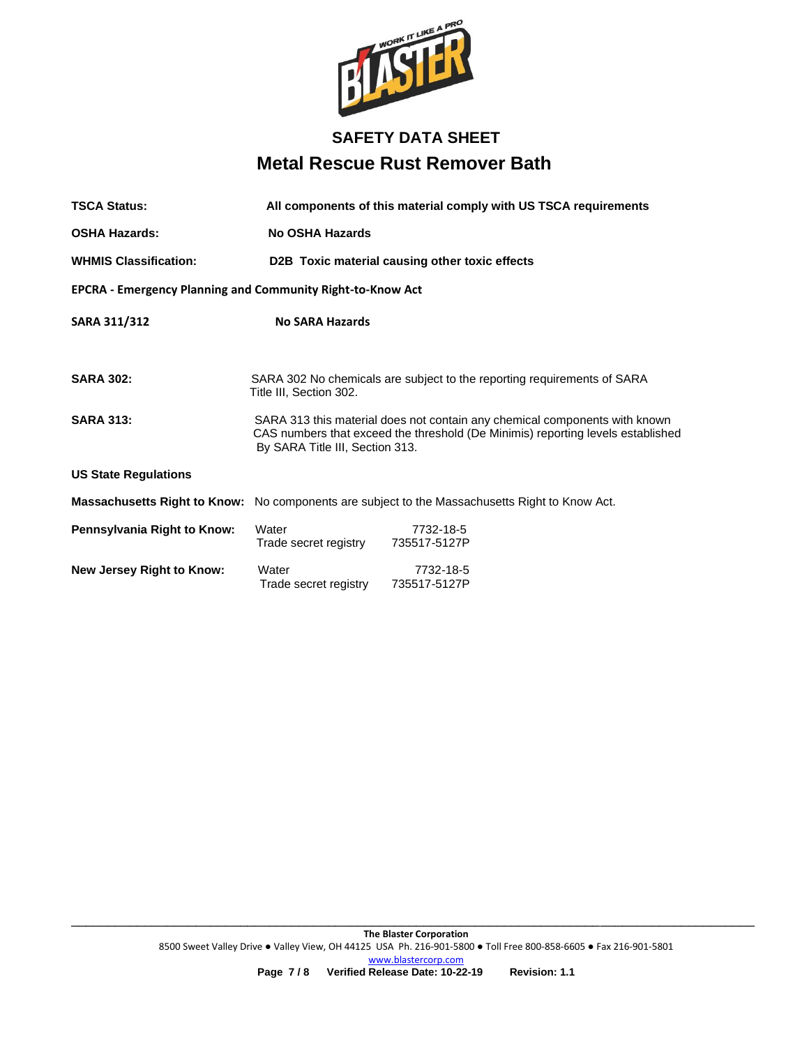

| <b>TSCA Status:</b>                                               | All components of this material comply with US TSCA requirements                                                                                                                                 |                           |  |  |
|-------------------------------------------------------------------|--------------------------------------------------------------------------------------------------------------------------------------------------------------------------------------------------|---------------------------|--|--|
| <b>OSHA Hazards:</b>                                              | No OSHA Hazards                                                                                                                                                                                  |                           |  |  |
| <b>WHMIS Classification:</b>                                      | D2B Toxic material causing other toxic effects                                                                                                                                                   |                           |  |  |
| <b>EPCRA - Emergency Planning and Community Right-to-Know Act</b> |                                                                                                                                                                                                  |                           |  |  |
| SARA 311/312                                                      | <b>No SARA Hazards</b>                                                                                                                                                                           |                           |  |  |
| <b>SARA 302:</b>                                                  | SARA 302 No chemicals are subject to the reporting requirements of SARA<br>Title III, Section 302.                                                                                               |                           |  |  |
| <b>SARA 313:</b>                                                  | SARA 313 this material does not contain any chemical components with known<br>CAS numbers that exceed the threshold (De Minimis) reporting levels established<br>By SARA Title III, Section 313. |                           |  |  |
| <b>US State Regulations</b>                                       |                                                                                                                                                                                                  |                           |  |  |
|                                                                   | <b>Massachusetts Right to Know:</b> No components are subject to the Massachusetts Right to Know Act.                                                                                            |                           |  |  |
| Pennsylvania Right to Know:                                       | Water<br>Trade secret registry                                                                                                                                                                   | 7732-18-5<br>735517-5127P |  |  |
| <b>New Jersey Right to Know:</b>                                  | Water<br>Trade secret registry                                                                                                                                                                   | 7732-18-5<br>735517-5127P |  |  |